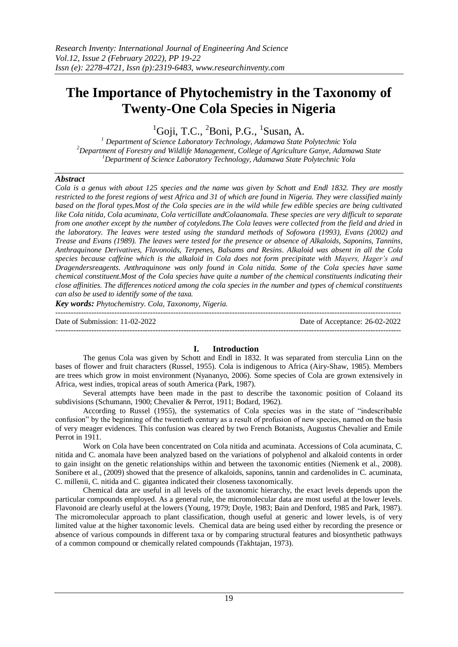# **The Importance of Phytochemistry in the Taxonomy of Twenty-One Cola Species in Nigeria**

 ${}^{1}$ Goji, T.C.,  ${}^{2}$ Boni, P.G.,  ${}^{1}$ Susan, A.

*<sup>1</sup> Department of Science Laboratory Technology, Adamawa State Polytechnic Yola <sup>2</sup>Department of Forestry and Wildlife Management, College of Agriculture Ganye, Adamawa State <sup>1</sup>Department of Science Laboratory Technology, Adamawa State Polytechnic Yola*

# *Abstract*

*Cola is a genus with about 125 species and the name was given by Schott and Endl 1832. They are mostly restricted to the forest regions of west Africa and 31 of which are found in Nigeria. They were classified mainly based on the floral types.Most of the Cola species are in the wild while few edible species are being cultivated like Cola nitida, Cola acuminata, Cola verticillate andColaanomala. These species are very difficult to separate from one another except by the number of cotyledons.The Cola leaves were collected from the field and dried in the laboratory. The leaves were tested using the standard methods of Sofowora (1993), Evans (2002) and Trease and Evans (1989). The leaves were tested for the presence or absence of Alkaloids, Saponins, Tannins, Anthraquinone Derivatives, Flavonoids, Terpenes, Balsams and Resins. Alkaloid was absent in all the Cola species because caffeine which is the alkaloid in Cola does not form precipitate with Mayers, Hager's and Dragendersreagents. Anthraquinone was only found in Cola nitida. Some of the Cola species have same chemical constituent.Most of the Cola species have quite a number of the chemical constituents indicating their close affinities. The differences noticed among the cola species in the number and types of chemical constituents can also be used to identify some of the taxa.*

*Key words: Phytochemistry. Cola, Taxonomy, Nigeria.* 

--------------------------------------------------------------------------------------------------------------------------------------- Date of Submission: 11-02-2022 Date of Acceptance: 26-02-2022 ---------------------------------------------------------------------------------------------------------------------------------------

# **I. Introduction**

The genus Cola was given by Schott and Endl in 1832. It was separated from sterculia Linn on the bases of flower and fruit characters (Russel, 1955). Cola is indigenous to Africa (Airy-Shaw, 1985). Members are trees which grow in moist environment (Nyananyo, 2006). Some species of Cola are grown extensively in Africa, west indies, tropical areas of south America (Park, 1987).

Several attempts have been made in the past to describe the taxonomic position of Colaand its subdivisions (Schumann, 1900; Chevalier & Perrot, 1911; Bodard, 1962).

According to Russel (1955), the systematics of Cola species was in the state of "indescribable confusion" by the beginning of the twentieth century as a result of profusion of new species, named on the basis of very meager evidences. This confusion was cleared by two French Botanists, Augustus Chevalier and Emile Perrot in 1911.

Work on Cola have been concentrated on Cola nitida and acuminata. Accessions of Cola acuminata, C. nitida and C. anomala have been analyzed based on the variations of polyphenol and alkaloid contents in order to gain insight on the genetic relationships within and between the taxonomic entities (Niemenk et al., 2008). Sonibere et al., (2009) showed that the presence of alkaloids, saponins, tannin and cardenolides in C. acuminata, C. millenii, C. nitida and C. gigantea indicated their closeness taxonomically.

Chemical data are useful in all levels of the taxonomic hierarchy, the exact levels depends upon the particular compounds employed. As a general rule, the micromolecular data are most useful at the lower levels. Flavonoid are clearly useful at the lowers (Young, 1979; Doyle, 1983; Bain and Denford, 1985 and Park, 1987). The micromolecular approach to plant classification, though useful at generic and lower levels, is of very limited value at the higher taxonomic levels. Chemical data are being used either by recording the presence or absence of various compounds in different taxa or by comparing structural features and biosynthetic pathways of a common compound or chemically related compounds (Takhtajan, 1973).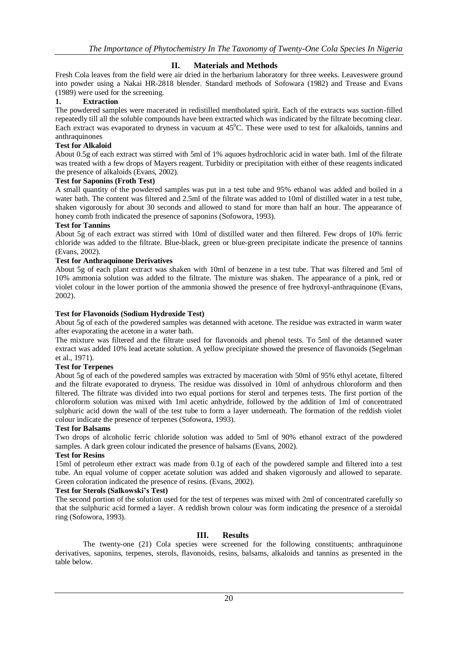# **II. Materials and Methods**

Fresh Cola leaves from the field were air dried in the herbarium laboratory for three weeks. Leaveswere ground into powder using a Nakai HR-2818 blender. Standard methods of Sofowara (1982) and Trease and Evans (1989) were used for the screening.

# **1. Extraction**

The powdered samples were macerated in redistilled mentholated spirit. Each of the extracts was suction-filled repeatedly till all the soluble compounds have been extracted which was indicated by the filtrate becoming clear. Each extract was evaporated to dryness in vacuum at  $45^{\circ}$ C. These were used to test for alkaloids, tannins and anthraquinones

## **Test for Alkaloid**

About 0.5g of each extract was stirred with 5ml of 1% aquoes hydrochloric acid in water bath. 1ml of the filtrate was treated with a few drops of Mayers reagent. Turbidity or precipitation with either of these reagents indicated the presence of alkaloids (Evans, 2002).

## **Test for Saponins (Froth Test)**

A small quantity of the powdered samples was put in a test tube and 95% ethanol was added and boiled in a water bath. The content was filtered and 2.5ml of the filtrate was added to 10ml of distilled water in a test tube, shaken vigorously for about 30 seconds and allowed to stand for more than half an hour. The appearance of honey comb froth indicated the presence of saponins (Sofowora, 1993).

## **Test for Tannins**

About 5g of each extract was stirred with 10ml of distilled water and then filtered. Few drops of 10% ferric chloride was added to the filtrate. Blue-black, green or blue-green precipitate indicate the presence of tannins (Evans, 2002).

# **Test for Anthraquinone Derivatives**

About 5g of each plant extract was shaken with 10ml of benzene in a test tube. That was filtered and 5ml of 10% ammonia solution was added to the filtrate. The mixture was shaken. The appearance of a pink, red or violet colour in the lower portion of the ammonia showed the presence of free hydroxyl-anthraquinone (Evans, 2002).

## **Test for Flavonoids (Sodium Hydroxide Test)**

About 5g of each of the powdered samples was detanned with acetone. The residue was extracted in warm water after evaporating the acetone in a water bath.

The mixture was filtered and the filtrate used for flavonoids and phenol tests. To 5ml of the detanned water extract was added 10% lead acetate solution. A yellow precipitate showed the presence of flavonoids (Segelman et al., 1971).

#### **Test for Terpenes**

About 5g of each of the powdered samples was extracted by maceration with 50ml of 95% ethyl acetate, filtered and the filtrate evaporated to dryness. The residue was dissolved in 10ml of anhydrous chloroform and then filtered. The filtrate was divided into two equal portions for sterol and terpenes tests. The first portion of the chloroform solution was mixed with 1ml acetic anhydride, followed by the addition of 1ml of concentrated sulphuric acid down the wall of the test tube to form a layer underneath. The formation of the reddish violet colour indicate the presence of terpenes (Sofowora, 1993).

#### **Test for Balsams**

Two drops of alcoholic ferric chloride solution was added to 5ml of 90% ethanol extract of the powdered samples. A dark green colour indicated the presence of balsams (Evans, 2002).

#### **Test for Resins**

15ml of petroleum ether extract was made from 0.1g of each of the powdered sample and filtered into a test tube. An equal volume of copper acetate solution was added and shaken vigorously and allowed to separate. Green coloration indicated the presence of resins. (Evans, 2002).

#### **Test for Sterols (Salkowski's Test)**

The second portion of the solution used for the test of terpenes was mixed with 2ml of concentrated carefully so that the sulphuric acid formed a layer. A reddish brown colour was form indicating the presence of a steroidal ring (Sofowora, 1993).

# **III. Results**

The twenty-one (21) Cola species were screened for the following constituents; anthraquinone derivatives, saponins, terpenes, sterols, flavonoids, resins, balsams, alkaloids and tannins as presented in the table below.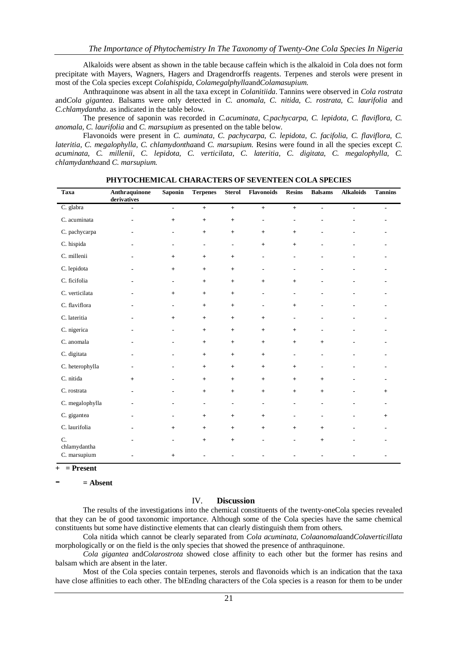Alkaloids were absent as shown in the table because caffein which is the alkaloid in Cola does not form precipitate with Mayers, Wagners, Hagers and Dragendrorffs reagents. Terpenes and sterols were present in most of the Cola species except *Colahispida, Colamegalphylla*and*Colamasupium*.

Anthraquinone was absent in all the taxa except in *Colanitiida*. Tannins were observed in *Cola rostrata*  and*Cola gigantea*. Balsams were only detected in *C. anomala, C. nitida, C. rostrata, C. laurifolia* and *C.chlamydantha*. as indicated in the table below.

The presence of saponin was recorded in *C.acuminata, C.pachycarpa, C. lepidota, C. flaviflora, C. anomala, C. laurifolia* and *C. marsupium* as presented on the table below.

Flavonoids were present in *C. auminata, C. pachycarpa, C. lepidota, C. facifolia, C. flaviflora, C. lateritia, C. megalophylla, C. chlamydontha*and *C. marsupium.* Resins were found in all the species except *C. acuminata, C. millenii, C. lepidota, C. verticilata, C. lateritia, C. digitata, C. megalophylla, C. chlamydantha*and *C. marsupium.*

| Taxa               | Anthraquinone<br>derivatives | <b>Saponin</b> | <b>Terpenes</b> | <b>Sterol</b>                    | Flavonoids       | <b>Resins</b>  | <b>Balsams</b>                   | <b>Alkaloids</b> | <b>Tannins</b> |
|--------------------|------------------------------|----------------|-----------------|----------------------------------|------------------|----------------|----------------------------------|------------------|----------------|
| C. glabra          | $\blacksquare$               | $\blacksquare$ | $+$             | $+$                              | $\ddot{}$        | $+$            | $\blacksquare$                   | $\blacksquare$   | $\blacksquare$ |
| C. acuminata       |                              | $+$            | $+$             | $\ddot{}$                        |                  |                |                                  |                  |                |
| C. pachycarpa      | $\blacksquare$               | $\blacksquare$ | $^{+}$          | $\begin{array}{c} + \end{array}$ | $+$              | $+$            |                                  |                  |                |
| C. hispida         |                              |                | ۰               | $\blacksquare$                   | $+$              | $+$            |                                  |                  |                |
| C. millenii        |                              | $+$            | $+$             | $\ddot{}$                        |                  |                |                                  |                  |                |
| C. lepidota        |                              | $+$            | $+$             | $\begin{array}{c} + \end{array}$ | -                |                |                                  |                  |                |
| C. ficifolia       |                              | $\blacksquare$ | $+$             | $\begin{array}{c} + \end{array}$ | $\boldsymbol{+}$ | $\ddot{}$      |                                  |                  |                |
| C. verticilata     |                              | $+$            | $+$             | $\ddot{}$                        |                  | $\blacksquare$ |                                  |                  |                |
| C. flaviflora      |                              | $\blacksquare$ | $+$             | $\begin{array}{c} + \end{array}$ |                  | $+$            |                                  |                  |                |
| C. lateritia       |                              | $+$            | $+$             | $\begin{array}{c} + \end{array}$ | $+$              |                |                                  |                  |                |
| C. nigerica        |                              | $\blacksquare$ | $+$             | $\begin{array}{c} + \end{array}$ | $+$              | $+$            | ۰                                |                  |                |
| C. anomala         |                              |                | $+$             | $\begin{array}{c} + \end{array}$ | $+$              | $+$            | $\begin{array}{c} + \end{array}$ |                  |                |
| C. digitata        |                              |                | $+$             | $\ddot{}$                        | $+$              | $\blacksquare$ |                                  |                  |                |
| C. heterophylla    | $\blacksquare$               |                | $+$             | $\begin{array}{c} + \end{array}$ | $+$              | $+$            | $\blacksquare$                   |                  |                |
| C. nitida          | $+$                          |                | $+$             | $\begin{array}{c} + \end{array}$ | $+$              | $+$            | $+$                              |                  |                |
| C. rostrata        |                              |                | $+$             | $\begin{array}{c} + \end{array}$ | $+$              | $+$            | $+$                              |                  | $+$            |
| C. megalophylla    | $\blacksquare$               |                | $\blacksquare$  | $\blacksquare$                   | $\blacksquare$   | $\blacksquare$ | ٠                                |                  |                |
| C. gigantea        |                              |                | $+$             | $^{+}$                           | $+$              |                |                                  |                  | $^{+}$         |
| C. laurifolia      |                              | $+$            | $+$             | $\ddot{}$                        | $+$              | $+$            | $+$                              |                  |                |
| C.<br>chlamydantha |                              | $\blacksquare$ | $+$             | $\begin{array}{c} + \end{array}$ |                  | $\blacksquare$ | $+$                              |                  |                |
| C. marsupium       |                              | $+$            |                 |                                  |                  |                |                                  |                  |                |

**PHYTOCHEMICAL CHARACTERS OF SEVENTEEN COLA SPECIES**

**+ = Present** 

- **= Absent**

## IV. **Discussion**

The results of the investigations into the chemical constituents of the twenty-oneCola species revealed that they can be of good taxonomic importance. Although some of the Cola species have the same chemical constituents but some have distinctive elements that can clearly distinguish them from others.

Cola nitida which cannot be clearly separated from *Cola acuminata, Colaanomala*and*Colaverticillata* morphologically or on the field is the only species that showed the presence of anthraquinone.

*Cola gigantea* and*Colarostrota* showed close affinity to each other but the former has resins and balsam which are absent in the later.

Most of the Cola species contain terpenes, sterols and flavonoids which is an indication that the taxa have close affinities to each other. The blEndlng characters of the Cola species is a reason for them to be under